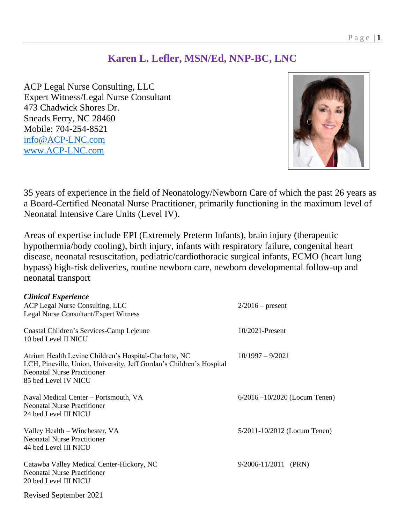### **Karen L. Lefler, MSN/Ed, NNP-BC, LNC**

ACP Legal Nurse Consulting, LLC Expert Witness/Legal Nurse Consultant 473 Chadwick Shores Dr. Sneads Ferry, NC 28460 Mobile: 704-254-8521 [info@ACP-LNC.com](mailto:info@ACP-LNC.com) www.ACP-LNC.com



35 years of experience in the field of Neonatology/Newborn Care of which the past 26 years as a Board-Certified Neonatal Nurse Practitioner, primarily functioning in the maximum level of Neonatal Intensive Care Units (Level IV).

Areas of expertise include EPI (Extremely Preterm Infants), brain injury (therapeutic hypothermia/body cooling), birth injury, infants with respiratory failure, congenital heart disease, neonatal resuscitation, pediatric/cardiothoracic surgical infants, ECMO (heart lung bypass) high-risk deliveries, routine newborn care, newborn developmental follow-up and neonatal transport

| <b>Clinical Experience</b>                                                                                                                                                                   |                                  |
|----------------------------------------------------------------------------------------------------------------------------------------------------------------------------------------------|----------------------------------|
| ACP Legal Nurse Consulting, LLC                                                                                                                                                              | $2/2016$ – present               |
| <b>Legal Nurse Consultant/Expert Witness</b>                                                                                                                                                 |                                  |
| Coastal Children's Services-Camp Lejeune<br>10 bed Level II NICU                                                                                                                             | 10/2021-Present                  |
| Atrium Health Levine Children's Hospital-Charlotte, NC<br>LCH, Pineville, Union, University, Jeff Gordan's Children's Hospital<br><b>Neonatal Nurse Practitioner</b><br>85 bed Level IV NICU | $10/1997 - 9/2021$               |
| Naval Medical Center – Portsmouth, VA<br><b>Neonatal Nurse Practitioner</b><br>24 bed Level III NICU                                                                                         | $6/2016 - 10/2020$ (Locum Tenen) |
| Valley Health – Winchester, VA<br><b>Neonatal Nurse Practitioner</b><br>44 bed Level III NICU                                                                                                | $5/2011 - 10/2012$ (Locum Tenen) |
| Catawba Valley Medical Center-Hickory, NC<br><b>Neonatal Nurse Practitioner</b><br>20 bed Level III NICU                                                                                     | $9/2006 - 11/2011$ (PRN)         |
| Revised September 2021                                                                                                                                                                       |                                  |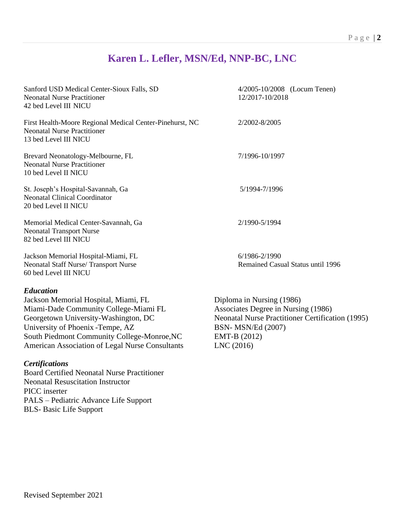## **Karen L. Lefler, MSN/Ed, NNP-BC, LNC**

| Sanford USD Medical Center-Sioux Falls, SD<br><b>Neonatal Nurse Practitioner</b><br>42 bed Level III NICU                                                                                                                                                                        | 4/2005-10/2008 (Locum Tenen)<br>12/2017-10/2018                                                                                                                                       |
|----------------------------------------------------------------------------------------------------------------------------------------------------------------------------------------------------------------------------------------------------------------------------------|---------------------------------------------------------------------------------------------------------------------------------------------------------------------------------------|
| First Health-Moore Regional Medical Center-Pinehurst, NC<br><b>Neonatal Nurse Practitioner</b><br>13 bed Level III NICU                                                                                                                                                          | 2/2002-8/2005                                                                                                                                                                         |
| Brevard Neonatology-Melbourne, FL<br><b>Neonatal Nurse Practitioner</b><br>10 bed Level II NICU                                                                                                                                                                                  | 7/1996-10/1997                                                                                                                                                                        |
| St. Joseph's Hospital-Savannah, Ga<br><b>Neonatal Clinical Coordinator</b><br>20 bed Level II NICU                                                                                                                                                                               | 5/1994-7/1996                                                                                                                                                                         |
| Memorial Medical Center-Savannah, Ga<br><b>Neonatal Transport Nurse</b><br>82 bed Level III NICU                                                                                                                                                                                 | 2/1990-5/1994                                                                                                                                                                         |
| Jackson Memorial Hospital-Miami, FL<br>Neonatal Staff Nurse/Transport Nurse<br>60 bed Level III NICU                                                                                                                                                                             | 6/1986-2/1990<br>Remained Casual Status until 1996                                                                                                                                    |
| <b>Education</b><br>Jackson Memorial Hospital, Miami, FL<br>Miami-Dade Community College-Miami FL<br>Georgetown University-Washington, DC<br>University of Phoenix - Tempe, AZ<br>South Piedmont Community College-Monroe, NC<br>American Association of Legal Nurse Consultants | Diploma in Nursing (1986)<br>Associates Degree in Nursing (1986)<br><b>Neonatal Nurse Practitioner Certification (1995)</b><br><b>BSN-MSN/Ed (2007)</b><br>EMT-B (2012)<br>LNC (2016) |
| <b>Certifications</b><br><b>Board Certified Neonatal Nurse Practitioner</b><br><b>Neonatal Resuscitation Instructor</b><br>PICC inserter<br>PALS – Pediatric Advance Life Support                                                                                                |                                                                                                                                                                                       |

BLS- Basic Life Support